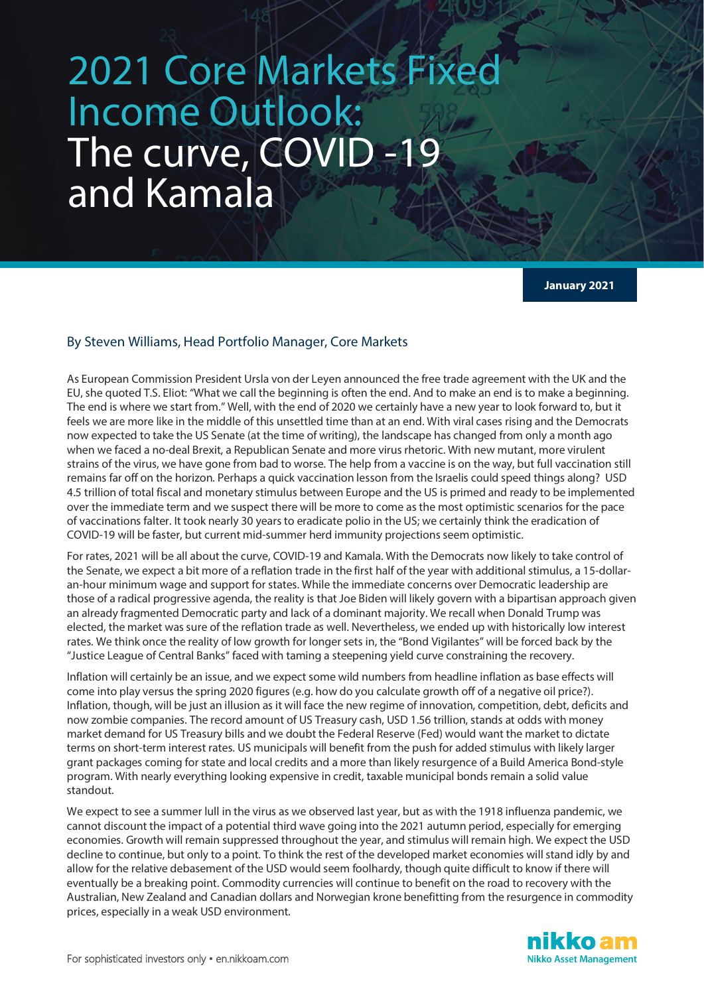## 2021 Core Markets Fixe Income Outlook: The curve, COVID -19 and Kamala

**January 2021**

## By Steven Williams, Head Portfolio Manager, Core Markets

As European Commission President Ursla von der Leyen announced the free trade agreement with the UK and the EU, she quoted T.S. Eliot: "What we call the beginning is often the end. And to make an end is to make a beginning. The end is where we start from." Well, with the end of 2020 we certainly have a new year to look forward to, but it feels we are more like in the middle of this unsettled time than at an end. With viral cases rising and the Democrats now expected to take the US Senate (at the time of writing), the landscape has changed from only a month ago when we faced a no-deal Brexit, a Republican Senate and more virus rhetoric. With new mutant, more virulent strains of the virus, we have gone from bad to worse. The help from a vaccine is on the way, but full vaccination still remains far off on the horizon. Perhaps a quick vaccination lesson from the Israelis could speed things along? USD 4.5 trillion of total fiscal and monetary stimulus between Europe and the US is primed and ready to be implemented over the immediate term and we suspect there will be more to come as the most optimistic scenarios for the pace of vaccinations falter. It took nearly 30 years to eradicate polio in the US; we certainly think the eradication of COVID-19 will be faster, but current mid-summer herd immunity projections seem optimistic.

For rates, 2021 will be all about the curve, COVID-19 and Kamala. With the Democrats now likely to take control of the Senate, we expect a bit more of a reflation trade in the first half of the year with additional stimulus, a 15-dollaran-hour minimum wage and support for states. While the immediate concerns over Democratic leadership are those of a radical progressive agenda, the reality is that Joe Biden will likely govern with a bipartisan approach given an already fragmented Democratic party and lack of a dominant majority. We recall when Donald Trump was elected, the market was sure of the reflation trade as well. Nevertheless, we ended up with historically low interest rates. We think once the reality of low growth for longer sets in, the "Bond Vigilantes" will be forced back by the "Justice League of Central Banks" faced with taming a steepening yield curve constraining the recovery.

Inflation will certainly be an issue, and we expect some wild numbers from headline inflation as base effects will come into play versus the spring 2020 figures (e.g. how do you calculate growth off of a negative oil price?). Inflation, though, will be just an illusion as it will face the new regime of innovation, competition, debt, deficits and now zombie companies. The record amount of US Treasury cash, USD 1.56 trillion, stands at odds with money market demand for US Treasury bills and we doubt the Federal Reserve (Fed) would want the market to dictate terms on short-term interest rates. US municipals will benefit from the push for added stimulus with likely larger grant packages coming for state and local credits and a more than likely resurgence of a Build America Bond-style program. With nearly everything looking expensive in credit, taxable municipal bonds remain a solid value standout.

We expect to see a summer lull in the virus as we observed last year, but as with the 1918 influenza pandemic, we cannot discount the impact of a potential third wave going into the 2021 autumn period, especially for emerging economies. Growth will remain suppressed throughout the year, and stimulus will remain high. We expect the USD decline to continue, but only to a point. To think the rest of the developed market economies will stand idly by and allow for the relative debasement of the USD would seem foolhardy, though quite difficult to know if there will eventually be a breaking point. Commodity currencies will continue to benefit on the road to recovery with the Australian, New Zealand and Canadian dollars and Norwegian krone benefitting from the resurgence in commodity prices, especially in a weak USD environment.

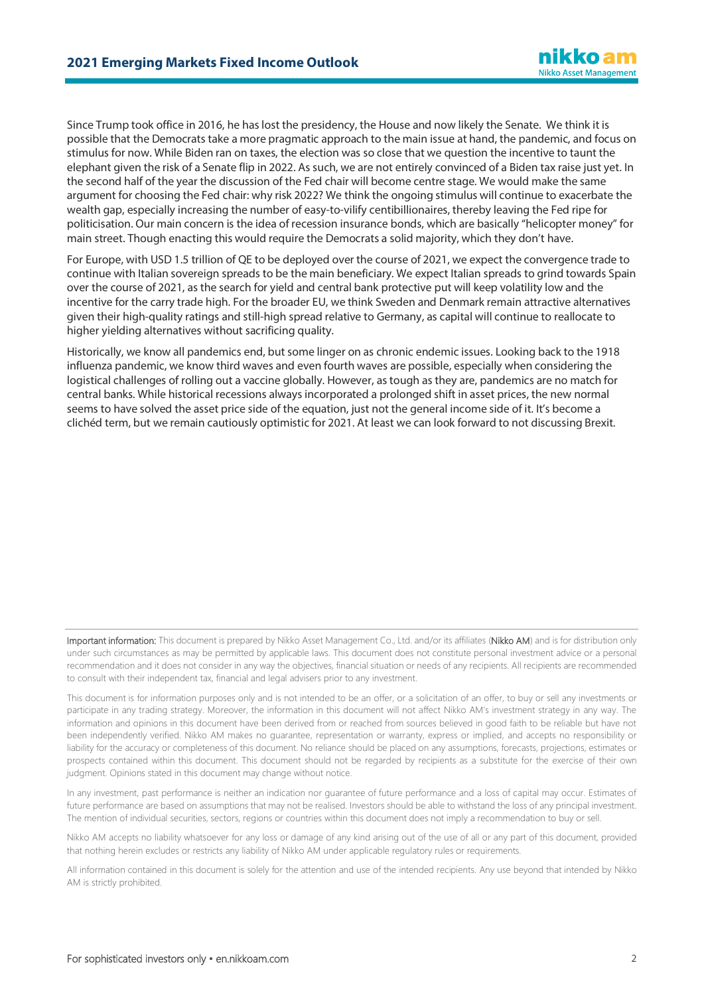Since Trump took office in 2016, he has lost the presidency, the House and now likely the Senate. We think it is possible that the Democrats take a more pragmatic approach to the main issue at hand, the pandemic, and focus on stimulus for now. While Biden ran on taxes, the election was so close that we question the incentive to taunt the elephant given the risk of a Senate flip in 2022. As such, we are not entirely convinced of a Biden tax raise just yet. In the second half of the year the discussion of the Fed chair will become centre stage. We would make the same argument for choosing the Fed chair: why risk 2022? We think the ongoing stimulus will continue to exacerbate the wealth gap, especially increasing the number of easy-to-vilify centibillionaires, thereby leaving the Fed ripe for politicisation. Our main concern is the idea of recession insurance bonds, which are basically "helicopter money" for main street. Though enacting this would require the Democrats a solid majority, which they don't have.

For Europe, with USD 1.5 trillion of QE to be deployed over the course of 2021, we expect the convergence trade to continue with Italian sovereign spreads to be the main beneficiary. We expect Italian spreads to grind towards Spain over the course of 2021, as the search for yield and central bank protective put will keep volatility low and the incentive for the carry trade high. For the broader EU, we think Sweden and Denmark remain attractive alternatives given their high-quality ratings and still-high spread relative to Germany, as capital will continue to reallocate to higher yielding alternatives without sacrificing quality.

Historically, we know all pandemics end, but some linger on as chronic endemic issues. Looking back to the 1918 influenza pandemic, we know third waves and even fourth waves are possible, especially when considering the logistical challenges of rolling out a vaccine globally. However, as tough as they are, pandemics are no match for central banks. While historical recessions always incorporated a prolonged shift in asset prices, the new normal seems to have solved the asset price side of the equation, just not the general income side of it. It's become a clichéd term, but we remain cautiously optimistic for 2021. At least we can look forward to not discussing Brexit.

Important information: This document is prepared by Nikko Asset Management Co., Ltd. and/or its affiliates (Nikko AM) and is for distribution only under such circumstances as may be permitted by applicable laws. This document does not constitute personal investment advice or a personal recommendation and it does not consider in any way the objectives, financial situation or needs of any recipients. All recipients are recommended to consult with their independent tax, financial and legal advisers prior to any investment.

This document is for information purposes only and is not intended to be an offer, or a solicitation of an offer, to buy or sell any investments or participate in any trading strategy. Moreover, the information in this document will not affect Nikko AM's investment strategy in any way. The information and opinions in this document have been derived from or reached from sources believed in good faith to be reliable but have not been independently verified. Nikko AM makes no guarantee, representation or warranty, express or implied, and accepts no responsibility or liability for the accuracy or completeness of this document. No reliance should be placed on any assumptions, forecasts, projections, estimates or prospects contained within this document. This document should not be regarded by recipients as a substitute for the exercise of their own judgment. Opinions stated in this document may change without notice.

In any investment, past performance is neither an indication nor guarantee of future performance and a loss of capital may occur. Estimates of future performance are based on assumptions that may not be realised. Investors should be able to withstand the loss of any principal investment. The mention of individual securities, sectors, regions or countries within this document does not imply a recommendation to buy or sell.

Nikko AM accepts no liability whatsoever for any loss or damage of any kind arising out of the use of all or any part of this document, provided that nothing herein excludes or restricts any liability of Nikko AM under applicable regulatory rules or requirements.

All information contained in this document is solely for the attention and use of the intended recipients. Any use beyond that intended by Nikko AM is strictly prohibited.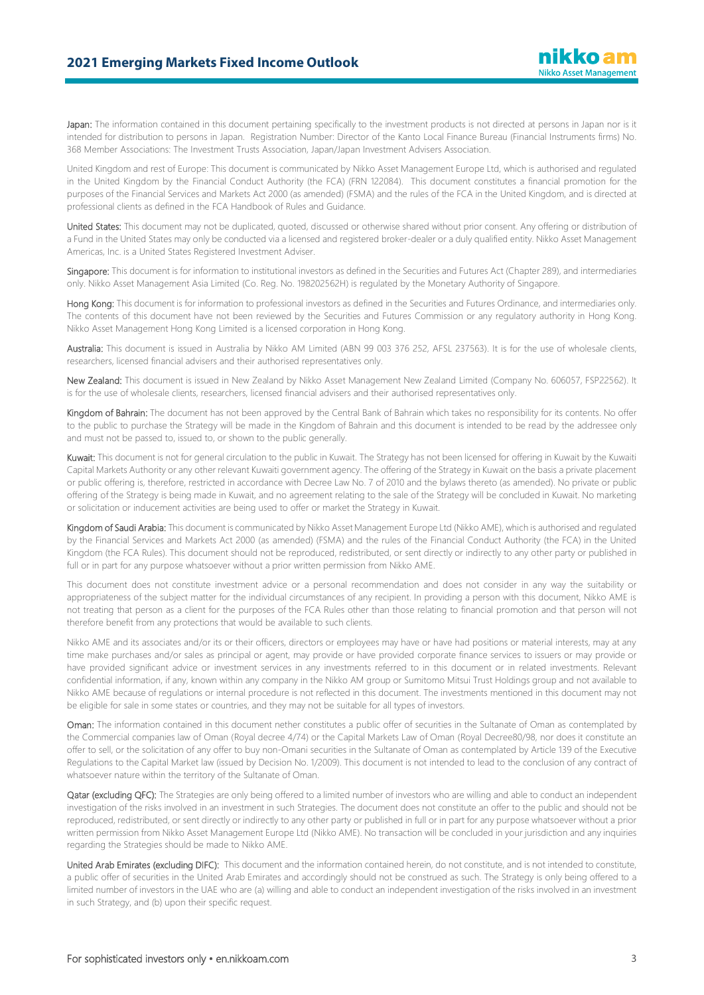Japan: The information contained in this document pertaining specifically to the investment products is not directed at persons in Japan nor is it intended for distribution to persons in Japan. Registration Number: Director of the Kanto Local Finance Bureau (Financial Instruments firms) No. 368 Member Associations: The Investment Trusts Association, Japan/Japan Investment Advisers Association.

United Kingdom and rest of Europe: This document is communicated by Nikko Asset Management Europe Ltd, which is authorised and regulated in the United Kingdom by the Financial Conduct Authority (the FCA) (FRN 122084). This document constitutes a financial promotion for the purposes of the Financial Services and Markets Act 2000 (as amended) (FSMA) and the rules of the FCA in the United Kingdom, and is directed at professional clients as defined in the FCA Handbook of Rules and Guidance.

United States: This document may not be duplicated, quoted, discussed or otherwise shared without prior consent. Any offering or distribution of a Fund in the United States may only be conducted via a licensed and registered broker-dealer or a duly qualified entity. Nikko Asset Management Americas, Inc. is a United States Registered Investment Adviser.

Singapore: This document is for information to institutional investors as defined in the Securities and Futures Act (Chapter 289), and intermediaries only. Nikko Asset Management Asia Limited (Co. Reg. No. 198202562H) is regulated by the Monetary Authority of Singapore.

Hong Kong: This document is for information to professional investors as defined in the Securities and Futures Ordinance, and intermediaries only. The contents of this document have not been reviewed by the Securities and Futures Commission or any regulatory authority in Hong Kong. Nikko Asset Management Hong Kong Limited is a licensed corporation in Hong Kong.

Australia: This document is issued in Australia by Nikko AM Limited (ABN 99 003 376 252, AFSL 237563). It is for the use of wholesale clients, researchers, licensed financial advisers and their authorised representatives only.

New Zealand: This document is issued in New Zealand by Nikko Asset Management New Zealand Limited (Company No. 606057, FSP22562). It is for the use of wholesale clients, researchers, licensed financial advisers and their authorised representatives only.

Kingdom of Bahrain: The document has not been approved by the Central Bank of Bahrain which takes no responsibility for its contents. No offer to the public to purchase the Strategy will be made in the Kingdom of Bahrain and this document is intended to be read by the addressee only and must not be passed to, issued to, or shown to the public generally.

Kuwait: This document is not for general circulation to the public in Kuwait. The Strategy has not been licensed for offering in Kuwait by the Kuwaiti Capital Markets Authority or any other relevant Kuwaiti government agency. The offering of the Strategy in Kuwait on the basis a private placement or public offering is, therefore, restricted in accordance with Decree Law No. 7 of 2010 and the bylaws thereto (as amended). No private or public offering of the Strategy is being made in Kuwait, and no agreement relating to the sale of the Strategy will be concluded in Kuwait. No marketing or solicitation or inducement activities are being used to offer or market the Strategy in Kuwait.

Kingdom of Saudi Arabia: This document is communicated by Nikko Asset Management Europe Ltd (Nikko AME), which is authorised and regulated by the Financial Services and Markets Act 2000 (as amended) (FSMA) and the rules of the Financial Conduct Authority (the FCA) in the United Kingdom (the FCA Rules). This document should not be reproduced, redistributed, or sent directly or indirectly to any other party or published in full or in part for any purpose whatsoever without a prior written permission from Nikko AME.

This document does not constitute investment advice or a personal recommendation and does not consider in any way the suitability or appropriateness of the subject matter for the individual circumstances of any recipient. In providing a person with this document, Nikko AME is not treating that person as a client for the purposes of the FCA Rules other than those relating to financial promotion and that person will not therefore benefit from any protections that would be available to such clients.

Nikko AME and its associates and/or its or their officers, directors or employees may have or have had positions or material interests, may at any time make purchases and/or sales as principal or agent, may provide or have provided corporate finance services to issuers or may provide or have provided significant advice or investment services in any investments referred to in this document or in related investments. Relevant confidential information, if any, known within any company in the Nikko AM group or Sumitomo Mitsui Trust Holdings group and not available to Nikko AME because of regulations or internal procedure is not reflected in this document. The investments mentioned in this document may not be eligible for sale in some states or countries, and they may not be suitable for all types of investors.

Oman: The information contained in this document nether constitutes a public offer of securities in the Sultanate of Oman as contemplated by the Commercial companies law of Oman (Royal decree 4/74) or the Capital Markets Law of Oman (Royal Decree80/98, nor does it constitute an offer to sell, or the solicitation of any offer to buy non-Omani securities in the Sultanate of Oman as contemplated by Article 139 of the Executive Regulations to the Capital Market law (issued by Decision No. 1/2009). This document is not intended to lead to the conclusion of any contract of whatsoever nature within the territory of the Sultanate of Oman.

Qatar (excluding QFC): The Strategies are only being offered to a limited number of investors who are willing and able to conduct an independent investigation of the risks involved in an investment in such Strategies. The document does not constitute an offer to the public and should not be reproduced, redistributed, or sent directly or indirectly to any other party or published in full or in part for any purpose whatsoever without a prior written permission from Nikko Asset Management Europe Ltd (Nikko AME). No transaction will be concluded in your jurisdiction and any inquiries regarding the Strategies should be made to Nikko AME.

United Arab Emirates (excluding DIFC): This document and the information contained herein, do not constitute, and is not intended to constitute, a public offer of securities in the United Arab Emirates and accordingly should not be construed as such. The Strategy is only being offered to a limited number of investors in the UAE who are (a) willing and able to conduct an independent investigation of the risks involved in an investment in such Strategy, and (b) upon their specific request.